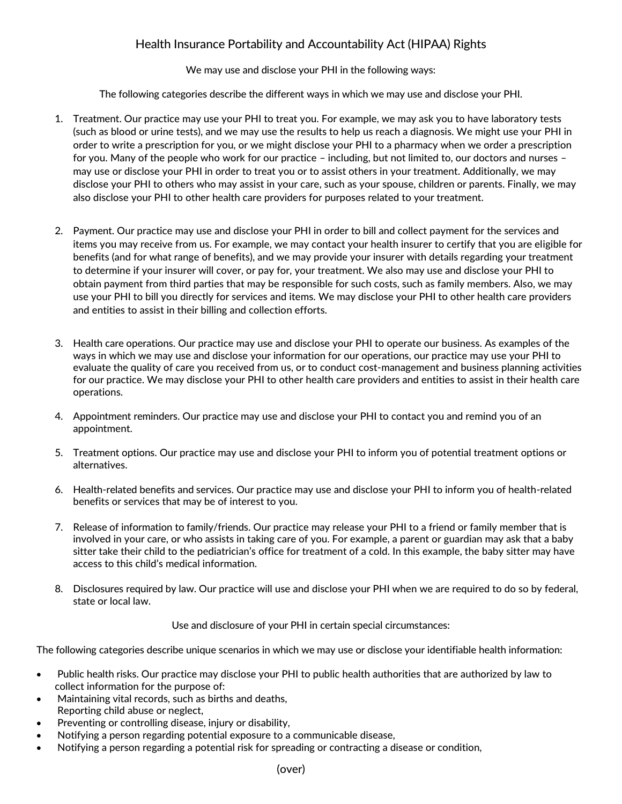## Health Insurance Portability and Accountability Act (HIPAA) Rights

We may use and disclose your PHI in the following ways:

The following categories describe the different ways in which we may use and disclose your PHI.

- 1. Treatment. Our practice may use your PHI to treat you. For example, we may ask you to have laboratory tests (such as blood or urine tests), and we may use the results to help us reach a diagnosis. We might use your PHI in order to write a prescription for you, or we might disclose your PHI to a pharmacy when we order a prescription for you. Many of the people who work for our practice – including, but not limited to, our doctors and nurses – may use or disclose your PHI in order to treat you or to assist others in your treatment. Additionally, we may disclose your PHI to others who may assist in your care, such as your spouse, children or parents. Finally, we may also disclose your PHI to other health care providers for purposes related to your treatment.
- 2. Payment. Our practice may use and disclose your PHI in order to bill and collect payment for the services and items you may receive from us. For example, we may contact your health insurer to certify that you are eligible for benefits (and for what range of benefits), and we may provide your insurer with details regarding your treatment to determine if your insurer will cover, or pay for, your treatment. We also may use and disclose your PHI to obtain payment from third parties that may be responsible for such costs, such as family members. Also, we may use your PHI to bill you directly for services and items. We may disclose your PHI to other health care providers and entities to assist in their billing and collection efforts.
- 3. Health care operations. Our practice may use and disclose your PHI to operate our business. As examples of the ways in which we may use and disclose your information for our operations, our practice may use your PHI to evaluate the quality of care you received from us, or to conduct cost-management and business planning activities for our practice. We may disclose your PHI to other health care providers and entities to assist in their health care operations.
- 4. Appointment reminders. Our practice may use and disclose your PHI to contact you and remind you of an appointment.
- 5. Treatment options. Our practice may use and disclose your PHI to inform you of potential treatment options or alternatives.
- 6. Health-related benefits and services. Our practice may use and disclose your PHI to inform you of health-related benefits or services that may be of interest to you.
- 7. Release of information to family/friends. Our practice may release your PHI to a friend or family member that is involved in your care, or who assists in taking care of you. For example, a parent or guardian may ask that a baby sitter take their child to the pediatrician's office for treatment of a cold. In this example, the baby sitter may have access to this child's medical information.
- 8. Disclosures required by law. Our practice will use and disclose your PHI when we are required to do so by federal, state or local law.

Use and disclosure of your PHI in certain special circumstances:

The following categories describe unique scenarios in which we may use or disclose your identifiable health information:

- Public health risks. Our practice may disclose your PHI to public health authorities that are authorized by law to collect information for the purpose of:
- Maintaining vital records, such as births and deaths, Reporting child abuse or neglect,
- Preventing or controlling disease, injury or disability,
- Notifying a person regarding potential exposure to a communicable disease,
- Notifying a person regarding a potential risk for spreading or contracting a disease or condition,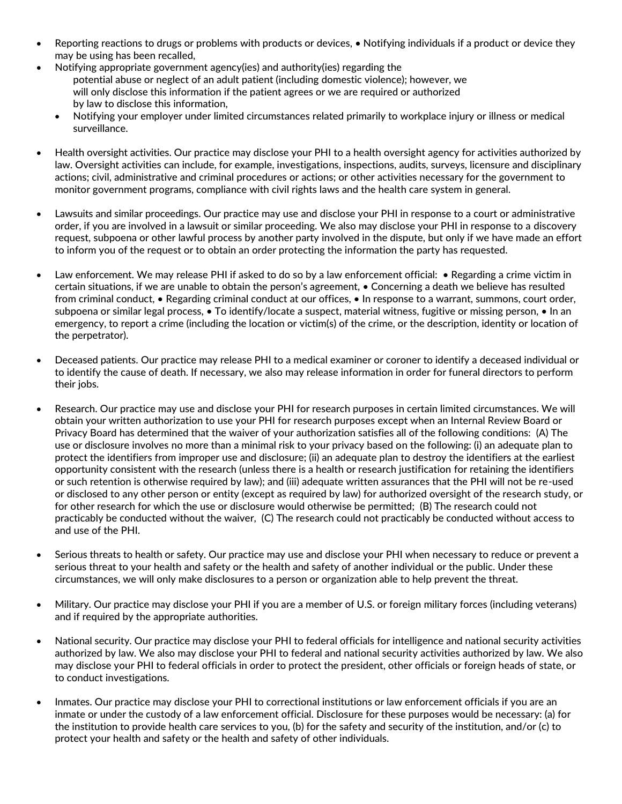- Reporting reactions to drugs or problems with products or devices, Notifying individuals if a product or device they may be using has been recalled,
- Notifying appropriate government agency(ies) and authority(ies) regarding the potential abuse or neglect of an adult patient (including domestic violence); however, we will only disclose this information if the patient agrees or we are required or authorized by law to disclose this information,
	- Notifying your employer under limited circumstances related primarily to workplace injury or illness or medical surveillance.
- Health oversight activities. Our practice may disclose your PHI to a health oversight agency for activities authorized by law. Oversight activities can include, for example, investigations, inspections, audits, surveys, licensure and disciplinary actions; civil, administrative and criminal procedures or actions; or other activities necessary for the government to monitor government programs, compliance with civil rights laws and the health care system in general.
- Lawsuits and similar proceedings. Our practice may use and disclose your PHI in response to a court or administrative order, if you are involved in a lawsuit or similar proceeding. We also may disclose your PHI in response to a discovery request, subpoena or other lawful process by another party involved in the dispute, but only if we have made an effort to inform you of the request or to obtain an order protecting the information the party has requested.
- Law enforcement. We may release PHI if asked to do so by a law enforcement official: Regarding a crime victim in certain situations, if we are unable to obtain the person's agreement, • Concerning a death we believe has resulted from criminal conduct, • Regarding criminal conduct at our offices, • In response to a warrant, summons, court order, subpoena or similar legal process, • To identify/locate a suspect, material witness, fugitive or missing person, • In an emergency, to report a crime (including the location or victim(s) of the crime, or the description, identity or location of the perpetrator).
- Deceased patients. Our practice may release PHI to a medical examiner or coroner to identify a deceased individual or to identify the cause of death. If necessary, we also may release information in order for funeral directors to perform their jobs.
- Research. Our practice may use and disclose your PHI for research purposes in certain limited circumstances. We will obtain your written authorization to use your PHI for research purposes except when an Internal Review Board or Privacy Board has determined that the waiver of your authorization satisfies all of the following conditions: (A) The use or disclosure involves no more than a minimal risk to your privacy based on the following: (i) an adequate plan to protect the identifiers from improper use and disclosure; (ii) an adequate plan to destroy the identifiers at the earliest opportunity consistent with the research (unless there is a health or research justification for retaining the identifiers or such retention is otherwise required by law); and (iii) adequate written assurances that the PHI will not be re-used or disclosed to any other person or entity (except as required by law) for authorized oversight of the research study, or for other research for which the use or disclosure would otherwise be permitted; (B) The research could not practicably be conducted without the waiver, (C) The research could not practicably be conducted without access to and use of the PHI.
- Serious threats to health or safety. Our practice may use and disclose your PHI when necessary to reduce or prevent a serious threat to your health and safety or the health and safety of another individual or the public. Under these circumstances, we will only make disclosures to a person or organization able to help prevent the threat.
- Military. Our practice may disclose your PHI if you are a member of U.S. or foreign military forces (including veterans) and if required by the appropriate authorities.
- National security. Our practice may disclose your PHI to federal officials for intelligence and national security activities authorized by law. We also may disclose your PHI to federal and national security activities authorized by law. We also may disclose your PHI to federal officials in order to protect the president, other officials or foreign heads of state, or to conduct investigations.
- Inmates. Our practice may disclose your PHI to correctional institutions or law enforcement officials if you are an inmate or under the custody of a law enforcement official. Disclosure for these purposes would be necessary: (a) for the institution to provide health care services to you, (b) for the safety and security of the institution, and/or (c) to protect your health and safety or the health and safety of other individuals.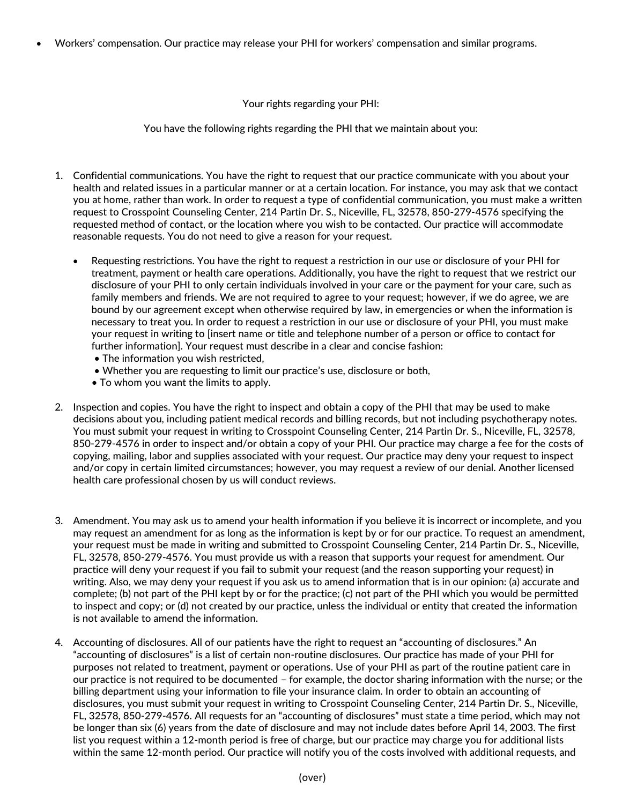Workers' compensation. Our practice may release your PHI for workers' compensation and similar programs.

Your rights regarding your PHI:

You have the following rights regarding the PHI that we maintain about you:

- 1. Confidential communications. You have the right to request that our practice communicate with you about your health and related issues in a particular manner or at a certain location. For instance, you may ask that we contact you at home, rather than work. In order to request a type of confidential communication, you must make a written request to Crosspoint Counseling Center, 214 Partin Dr. S., Niceville, FL, 32578, 850-279-4576 specifying the requested method of contact, or the location where you wish to be contacted. Our practice will accommodate reasonable requests. You do not need to give a reason for your request.
	- Requesting restrictions. You have the right to request a restriction in our use or disclosure of your PHI for treatment, payment or health care operations. Additionally, you have the right to request that we restrict our disclosure of your PHI to only certain individuals involved in your care or the payment for your care, such as family members and friends. We are not required to agree to your request; however, if we do agree, we are bound by our agreement except when otherwise required by law, in emergencies or when the information is necessary to treat you. In order to request a restriction in our use or disclosure of your PHI, you must make your request in writing to [insert name or title and telephone number of a person or office to contact for further information]. Your request must describe in a clear and concise fashion:
		- The information you wish restricted,
		- Whether you are requesting to limit our practice's use, disclosure or both,
		- To whom you want the limits to apply.
- 2. Inspection and copies. You have the right to inspect and obtain a copy of the PHI that may be used to make decisions about you, including patient medical records and billing records, but not including psychotherapy notes. You must submit your request in writing to Crosspoint Counseling Center, 214 Partin Dr. S., Niceville, FL, 32578, 850-279-4576 in order to inspect and/or obtain a copy of your PHI. Our practice may charge a fee for the costs of copying, mailing, labor and supplies associated with your request. Our practice may deny your request to inspect and/or copy in certain limited circumstances; however, you may request a review of our denial. Another licensed health care professional chosen by us will conduct reviews.
- 3. Amendment. You may ask us to amend your health information if you believe it is incorrect or incomplete, and you may request an amendment for as long as the information is kept by or for our practice. To request an amendment, your request must be made in writing and submitted to Crosspoint Counseling Center, 214 Partin Dr. S., Niceville, FL, 32578, 850-279-4576. You must provide us with a reason that supports your request for amendment. Our practice will deny your request if you fail to submit your request (and the reason supporting your request) in writing. Also, we may deny your request if you ask us to amend information that is in our opinion: (a) accurate and complete; (b) not part of the PHI kept by or for the practice; (c) not part of the PHI which you would be permitted to inspect and copy; or (d) not created by our practice, unless the individual or entity that created the information is not available to amend the information.
- 4. Accounting of disclosures. All of our patients have the right to request an "accounting of disclosures." An "accounting of disclosures" is a list of certain non-routine disclosures. Our practice has made of your PHI for purposes not related to treatment, payment or operations. Use of your PHI as part of the routine patient care in our practice is not required to be documented – for example, the doctor sharing information with the nurse; or the billing department using your information to file your insurance claim. In order to obtain an accounting of disclosures, you must submit your request in writing to Crosspoint Counseling Center, 214 Partin Dr. S., Niceville, FL, 32578, 850-279-4576. All requests for an "accounting of disclosures" must state a time period, which may not be longer than six (6) years from the date of disclosure and may not include dates before April 14, 2003. The first list you request within a 12-month period is free of charge, but our practice may charge you for additional lists within the same 12-month period. Our practice will notify you of the costs involved with additional requests, and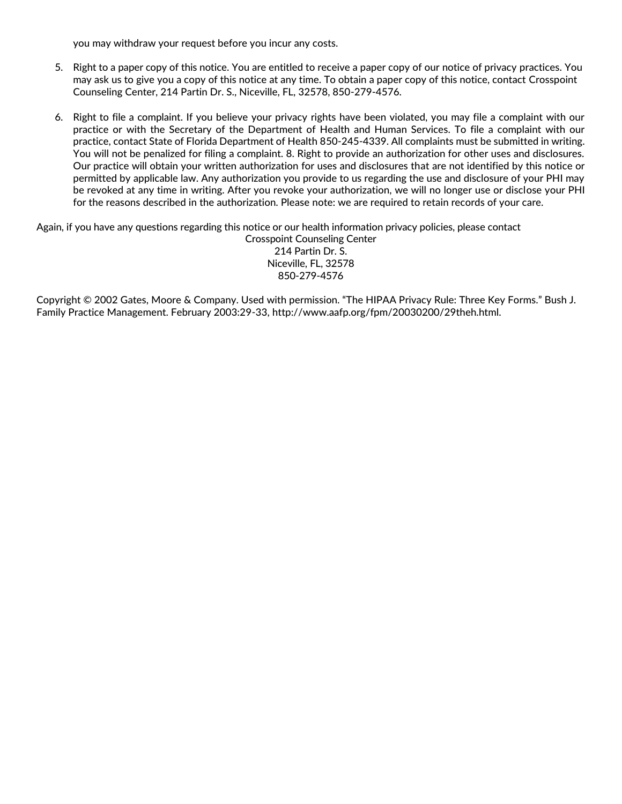you may withdraw your request before you incur any costs.

- 5. Right to a paper copy of this notice. You are entitled to receive a paper copy of our notice of privacy practices. You may ask us to give you a copy of this notice at any time. To obtain a paper copy of this notice, contact Crosspoint Counseling Center, 214 Partin Dr. S., Niceville, FL, 32578, 850-279-4576.
- 6. Right to file a complaint. If you believe your privacy rights have been violated, you may file a complaint with our practice or with the Secretary of the Department of Health and Human Services. To file a complaint with our practice, contact State of Florida Department of Health 850-245-4339. All complaints must be submitted in writing. You will not be penalized for filing a complaint. 8. Right to provide an authorization for other uses and disclosures. Our practice will obtain your written authorization for uses and disclosures that are not identified by this notice or permitted by applicable law. Any authorization you provide to us regarding the use and disclosure of your PHI may be revoked at any time in writing. After you revoke your authorization, we will no longer use or disclose your PHI for the reasons described in the authorization. Please note: we are required to retain records of your care.

Again, if you have any questions regarding this notice or our health information privacy policies, please contact Crosspoint Counseling Center 214 Partin Dr. S. Niceville, FL, 32578

Copyright © 2002 Gates, Moore & Company. Used with permission. "The HIPAA Privacy Rule: Three Key Forms." Bush J. Family Practice Management. February 2003:29-33, http://www.aafp.org/fpm/20030200/29theh.html.

850-279-4576